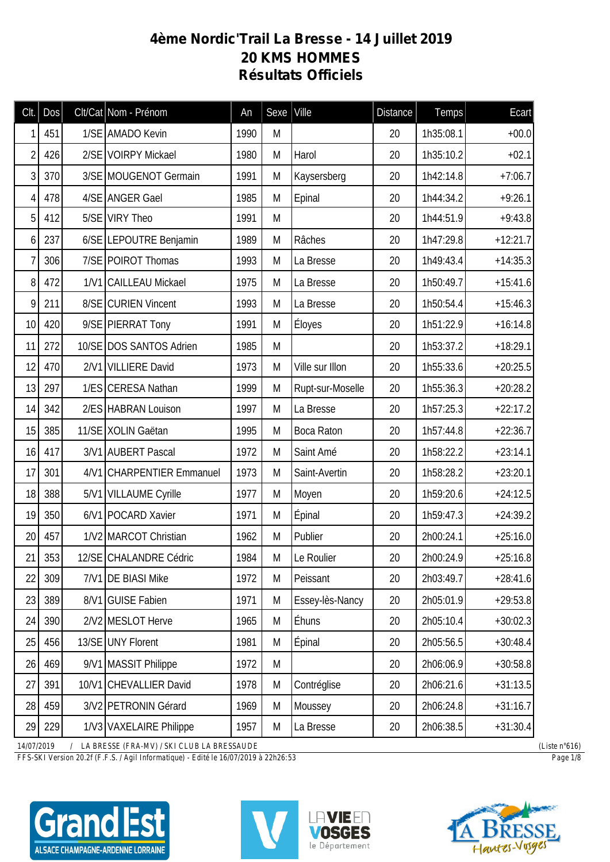## **4ème Nordic'Trail La Bresse - 14 Juillet 2019 20 KMS HOMMES Résultats Officiels**

| Clt.            | Dos | Clt/Cat Nom - Prénom      | An   | Sexe | Ville             | <b>Distance</b> | Temps     | Ecart      |
|-----------------|-----|---------------------------|------|------|-------------------|-----------------|-----------|------------|
| 1               | 451 | 1/SE AMADO Kevin          | 1990 | M    |                   | 20              | 1h35:08.1 | $+00.0$    |
| $\overline{2}$  | 426 | 2/SE VOIRPY Mickael       | 1980 | M    | Harol             | 20              | 1h35:10.2 | $+02.1$    |
| 3               | 370 | 3/SE MOUGENOT Germain     | 1991 | M    | Kaysersberg       | 20              | 1h42:14.8 | $+7:06.7$  |
| 4               | 478 | 4/SE ANGER Gael           | 1985 | M    | Epinal            | 20              | 1h44:34.2 | $+9:26.1$  |
| 5               | 412 | 5/SE VIRY Theo            | 1991 | M    |                   | 20              | 1h44:51.9 | $+9:43.8$  |
| 6               | 237 | 6/SE LEPOUTRE Benjamin    | 1989 | M    | Râches            | 20              | 1h47:29.8 | $+12:21.7$ |
| 7               | 306 | 7/SE POIROT Thomas        | 1993 | M    | La Bresse         | 20              | 1h49:43.4 | $+14:35.3$ |
| 8               | 472 | 1/V1 CAILLEAU Mickael     | 1975 | M    | La Bresse         | 20              | 1h50:49.7 | $+15:41.6$ |
| 9               | 211 | 8/SE CURIEN Vincent       | 1993 | M    | La Bresse         | 20              | 1h50:54.4 | $+15:46.3$ |
| 10              | 420 | 9/SE PIERRAT Tony         | 1991 | M    | Éloyes            | 20              | 1h51:22.9 | $+16:14.8$ |
| 11              | 272 | 10/SE DOS SANTOS Adrien   | 1985 | M    |                   | 20              | 1h53:37.2 | $+18:29.1$ |
| 12              | 470 | 2/V1 VILLIERE David       | 1973 | M    | Ville sur Illon   | 20              | 1h55:33.6 | $+20:25.5$ |
| 13              | 297 | 1/ES CERESA Nathan        | 1999 | M    | Rupt-sur-Moselle  | 20              | 1h55:36.3 | $+20:28.2$ |
| 14              | 342 | 2/ES HABRAN Louison       | 1997 | M    | La Bresse         | 20              | 1h57:25.3 | $+22:17.2$ |
| 15              | 385 | 11/SE XOLIN Gaëtan        | 1995 | M    | <b>Boca Raton</b> | 20              | 1h57:44.8 | $+22:36.7$ |
| 16              | 417 | 3/V1 AUBERT Pascal        | 1972 | M    | Saint Amé         | 20              | 1h58:22.2 | $+23:14.1$ |
| 17              | 301 | 4/V1 CHARPENTIER Emmanuel | 1973 | M    | Saint-Avertin     | 20              | 1h58:28.2 | $+23:20.1$ |
| 18              | 388 | 5/V1 VILLAUME Cyrille     | 1977 | M    | Moyen             | 20              | 1h59:20.6 | $+24:12.5$ |
| 19              | 350 | 6/V1 POCARD Xavier        | 1971 | M    | Épinal            | 20              | 1h59:47.3 | $+24:39.2$ |
| 20              | 457 | 1/V2 MARCOT Christian     | 1962 | M    | Publier           | 20              | 2h00:24.1 | $+25:16.0$ |
| 21              | 353 | 12/SE CHALANDRE Cédric    | 1984 | M    | Le Roulier        | 20              | 2h00:24.9 | $+25:16.8$ |
| $\overline{22}$ | 309 | 7/V1 DE BIASI Mike        | 1972 | M    | Peissant          | 20              | 2h03:49.7 | $+28:41.6$ |
| 23              | 389 | 8/V1 GUISE Fabien         | 1971 | M    | Essey-lès-Nancy   | 20              | 2h05:01.9 | $+29:53.8$ |
| 24              | 390 | 2/V2 MESLOT Herve         | 1965 | M    | Éhuns             | 20              | 2h05:10.4 | $+30:02.3$ |
| 25              | 456 | 13/SE UNY Florent         | 1981 | M    | Epinal            | 20              | 2h05:56.5 | $+30:48.4$ |
| 26              | 469 | 9/V1 MASSIT Philippe      | 1972 | M    |                   | 20              | 2h06:06.9 | $+30:58.8$ |
| 27              | 391 | 10/V1 CHEVALLIER David    | 1978 | M    | Contréglise       | 20              | 2h06:21.6 | $+31:13.5$ |
| 28              | 459 | 3/V2 PETRONIN Gérard      | 1969 | M    | Moussey           | 20              | 2h06:24.8 | $+31:16.7$ |
| 29              | 229 | 1/V3 VAXELAIRE Philippe   | 1957 | M    | La Bresse         | 20              | 2h06:38.5 | $+31:30.4$ |

*14/07/2019 / LA BRESSE (FRA-MV) / SKI CLUB LA BRESSAUDE (Liste n°616)*

*FFS-SKI Version 20.2f (F.F.S. / Agil Informatique) - Edité le 16/07/2019 à 22h26:53 Page 1/8*

ALSACE CHAMPAGNE-ARDENNE LORRAINE





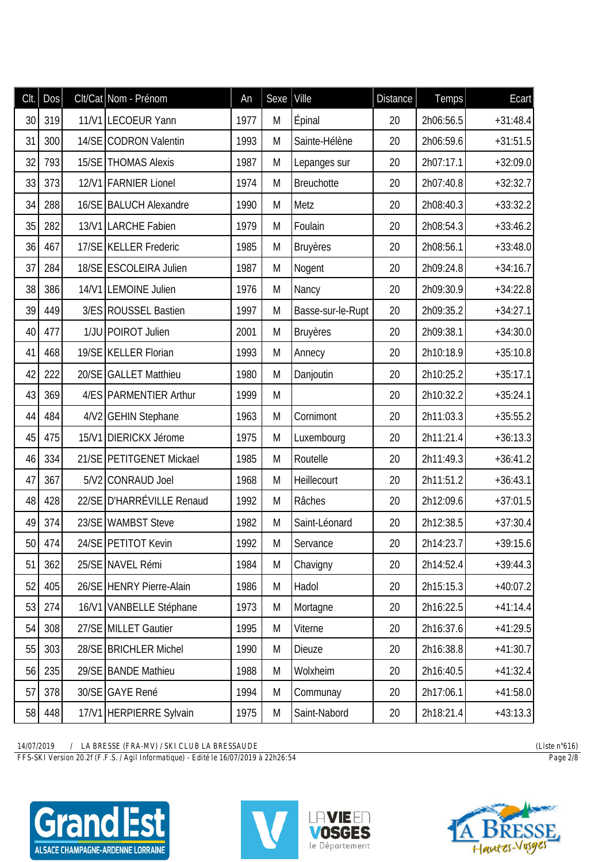| Clt. | Dos | Clt/Cat Nom - Prénom      | An   | Sexe | Ville             | <b>Distance</b> | <b>Temps</b> | Ecart      |
|------|-----|---------------------------|------|------|-------------------|-----------------|--------------|------------|
| 30   | 319 | 11/V1 LECOEUR Yann        | 1977 | М    | Épinal            | 20              | 2h06:56.5    | $+31:48.4$ |
| 31   | 300 | 14/SE CODRON Valentin     | 1993 | M    | Sainte-Hélène     | 20              | 2h06:59.6    | $+31:51.5$ |
| 32   | 793 | 15/SE THOMAS Alexis       | 1987 | M    | Lepanges sur      | 20              | 2h07:17.1    | $+32:09.0$ |
| 33   | 373 | 12/V1 FARNIER Lionel      | 1974 | M    | <b>Breuchotte</b> | 20              | 2h07:40.8    | $+32:32.7$ |
| 34   | 288 | 16/SE   BALUCH Alexandre  | 1990 | M    | Metz              | 20              | 2h08:40.3    | $+33:32.2$ |
| 35   | 282 | 13/V1 LARCHE Fabien       | 1979 | M    | Foulain           | 20              | 2h08:54.3    | $+33:46.2$ |
| 36   | 467 | 17/SE KELLER Frederic     | 1985 | M    | <b>Bruyères</b>   | 20              | 2h08:56.1    | $+33:48.0$ |
| 37   | 284 | 18/SE ESCOLEIRA Julien    | 1987 | M    | Nogent            | 20              | 2h09:24.8    | $+34:16.7$ |
| 38   | 386 | 14/V1 LEMOINE Julien      | 1976 | M    | Nancy             | 20              | 2h09:30.9    | $+34:22.8$ |
| 39   | 449 | 3/ES ROUSSEL Bastien      | 1997 | M    | Basse-sur-le-Rupt | 20              | 2h09:35.2    | $+34:27.1$ |
| 40   | 477 | 1/JU POIROT Julien        | 2001 | M    | <b>Bruyères</b>   | 20              | 2h09:38.1    | $+34:30.0$ |
| 41   | 468 | 19/SE KELLER Florian      | 1993 | M    | Annecy            | 20              | 2h10:18.9    | $+35:10.8$ |
| 42   | 222 | 20/SE GALLET Matthieu     | 1980 | M    | Danjoutin         | 20              | 2h10:25.2    | $+35:17.1$ |
| 43   | 369 | 4/ES PARMENTIER Arthur    | 1999 | M    |                   | 20              | 2h10:32.2    | $+35:24.1$ |
| 44   | 484 | 4/V2 GEHIN Stephane       | 1963 | M    | Cornimont         | 20              | 2h11:03.3    | $+35:55.2$ |
| 45   | 475 | 15/V1 DIERICKX Jérome     | 1975 | M    | Luxembourg        | 20              | 2h11:21.4    | $+36:13.3$ |
| 46   | 334 | 21/SE PETITGENET Mickael  | 1985 | M    | Routelle          | 20              | 2h11:49.3    | $+36:41.2$ |
| 47   | 367 | 5/V2 CONRAUD Joel         | 1968 | M    | Heillecourt       | 20              | 2h11:51.2    | $+36:43.1$ |
| 48   | 428 | 22/SE D'HARRÉVILLE Renaud | 1992 | M    | Râches            | 20              | 2h12:09.6    | $+37:01.5$ |
| 49   | 374 | 23/SE WAMBST Steve        | 1982 | M    | Saint-Léonard     | 20              | 2h12:38.5    | $+37:30.4$ |
| 50   | 474 | 24/SE PETITOT Kevin       | 1992 | М    | Servance          | 20              | 2h14:23.7    | $+39:15.6$ |
| 51   | 362 | 25/SE NAVEL Rémi          | 1984 | M    | Chavigny          | 20              | 2h14:52.4    | $+39:44.3$ |
| 52   | 405 | 26/SE HENRY Pierre-Alain  | 1986 | M    | Hadol             | 20              | 2h15:15.3    | $+40:07.2$ |
| 53   | 274 | 16/V1 VANBELLE Stéphane   | 1973 | M    | Mortagne          | 20              | 2h16:22.5    | $+41:14.4$ |
| 54   | 308 | 27/SE MILLET Gautier      | 1995 | M    | Viterne           | 20              | 2h16:37.6    | $+41:29.5$ |
| 55   | 303 | 28/SE BRICHLER Michel     | 1990 | M    | <b>Dieuze</b>     | 20              | 2h16:38.8    | $+41:30.7$ |
| 56   | 235 | 29/SE BANDE Mathieu       | 1988 | M    | Wolxheim          | 20              | 2h16:40.5    | $+41:32.4$ |
| 57   | 378 | 30/SE GAYE René           | 1994 | M    | Communay          | 20              | 2h17:06.1    | $+41:58.0$ |
| 58   | 448 | 17/V1 HERPIERRE Sylvain   | 1975 | M    | Saint-Nabord      | 20              | 2h18:21.4    | $+43:13.3$ |

*FFS-SKI Version 20.2f (F.F.S. / Agil Informatique) - Edité le 16/07/2019 à 22h26:54 Page 2/8*





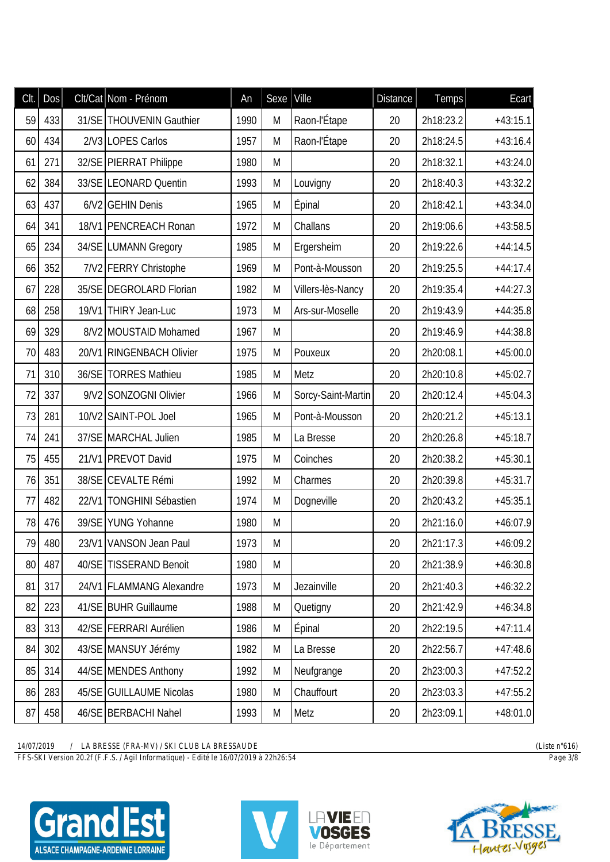| Clt. | Dos |       | Clt/Cat Nom - Prénom      | An   | Sexe <sup>1</sup> | Ville              | <b>Distance</b> | <b>Temps</b> | Ecart      |
|------|-----|-------|---------------------------|------|-------------------|--------------------|-----------------|--------------|------------|
| 59   | 433 |       | 31/SE THOUVENIN Gauthier  | 1990 | M                 | Raon-l'Étape       | 20              | 2h18:23.2    | $+43:15.1$ |
| 60   | 434 |       | 2/V3 LOPES Carlos         | 1957 | M                 | Raon-l'Étape       | 20              | 2h18:24.5    | $+43:16.4$ |
| 61   | 271 |       | 32/SE PIERRAT Philippe    | 1980 | M                 |                    | 20              | 2h18:32.1    | $+43:24.0$ |
| 62   | 384 |       | 33/SE LEONARD Quentin     | 1993 | M                 | Louvigny           | 20              | 2h18:40.3    | $+43:32.2$ |
| 63   | 437 |       | 6/V2 GEHIN Denis          | 1965 | M                 | Épinal             | 20              | 2h18:42.1    | $+43:34.0$ |
| 64   | 341 |       | 18/V1 PENCREACH Ronan     | 1972 | M                 | Challans           | 20              | 2h19:06.6    | $+43:58.5$ |
| 65   | 234 |       | 34/SE LUMANN Gregory      | 1985 | M                 | Ergersheim         | 20              | 2h19:22.6    | $+44:14.5$ |
| 66   | 352 |       | 7/V2 FERRY Christophe     | 1969 | M                 | Pont-à-Mousson     | 20              | 2h19:25.5    | $+44:17.4$ |
| 67   | 228 |       | 35/SE DEGROLARD Florian   | 1982 | M                 | Villers-lès-Nancy  | 20              | 2h19:35.4    | $+44:27.3$ |
| 68   | 258 |       | 19/V1 THIRY Jean-Luc      | 1973 | M                 | Ars-sur-Moselle    | 20              | 2h19:43.9    | $+44:35.8$ |
| 69   | 329 |       | 8/V2 MOUSTAID Mohamed     | 1967 | M                 |                    | 20              | 2h19:46.9    | $+44:38.8$ |
| 70   | 483 |       | 20/V1 RINGENBACH Olivier  | 1975 | M                 | Pouxeux            | 20              | 2h20:08.1    | $+45:00.0$ |
| 71   | 310 | 36/SE | <b>TORRES Mathieu</b>     | 1985 | M                 | Metz               | 20              | 2h20:10.8    | $+45:02.7$ |
| 72   | 337 |       | 9/V2 SONZOGNI Olivier     | 1966 | M                 | Sorcy-Saint-Martin | 20              | 2h20:12.4    | $+45:04.3$ |
| 73   | 281 |       | 10/V2 SAINT-POL Joel      | 1965 | M                 | Pont-à-Mousson     | 20              | 2h20:21.2    | $+45:13.1$ |
| 74   | 241 |       | 37/SE MARCHAL Julien      | 1985 | M                 | La Bresse          | 20              | 2h20:26.8    | $+45:18.7$ |
| 75   | 455 |       | 21/V1 PREVOT David        | 1975 | M                 | Coinches           | 20              | 2h20:38.2    | $+45:30.1$ |
| 76   | 351 |       | 38/SE CEVALTE Rémi        | 1992 | M                 | Charmes            | 20              | 2h20:39.8    | $+45:31.7$ |
| 77   | 482 | 22/V1 | <b>TONGHINI Sébastien</b> | 1974 | M                 | Dogneville         | 20              | 2h20:43.2    | $+45:35.1$ |
| 78   | 476 |       | 39/SE YUNG Yohanne        | 1980 | M                 |                    | 20              | 2h21:16.0    | $+46:07.9$ |
| 79   | 480 |       | 23/V1 VANSON Jean Paul    | 1973 | M                 |                    | 20              | 2h21:17.3    | $+46:09.2$ |
| 80   | 487 |       | 40/SE   TISSERAND Benoit  | 1980 | M                 |                    | 20              | 2h21:38.9    | $+46:30.8$ |
| 81   | 317 |       | 24/V1 FLAMMANG Alexandre  | 1973 | M                 | Jezainville        | 20              | 2h21:40.3    | $+46:32.2$ |
| 82   | 223 |       | 41/SE BUHR Guillaume      | 1988 | M                 | Quetigny           | 20              | 2h21:42.9    | $+46:34.8$ |
| 83   | 313 |       | 42/SE FERRARI Aurélien    | 1986 | M                 | Épinal             | 20              | 2h22:19.5    | $+47:11.4$ |
| 84   | 302 |       | 43/SE MANSUY Jérémy       | 1982 | M                 | La Bresse          | 20              | 2h22:56.7    | $+47:48.6$ |
| 85   | 314 |       | 44/SE MENDES Anthony      | 1992 | M                 | Neufgrange         | 20              | 2h23:00.3    | $+47:52.2$ |
| 86   | 283 |       | 45/SE GUILLAUME Nicolas   | 1980 | M                 | Chauffourt         | 20              | 2h23:03.3    | $+47:55.2$ |
| 87   | 458 |       | 46/SE BERBACHI Nahel      | 1993 | M                 | Metz               | 20              | 2h23:09.1    | $+48:01.0$ |

*FFS-SKI Version 20.2f (F.F.S. / Agil Informatique) - Edité le 16/07/2019 à 22h26:54 Page 3/8*





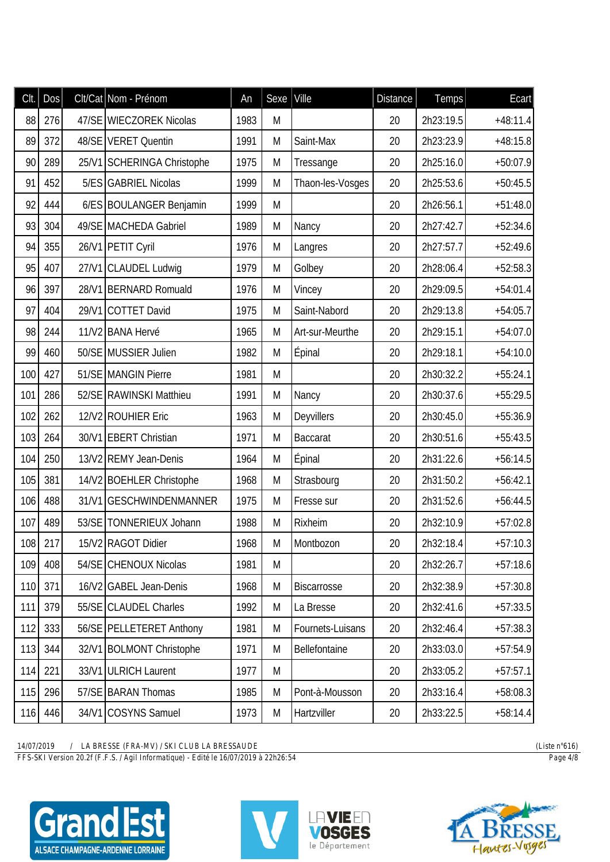| CIt. | Dos | Clt/Cat Nom - Prénom       | An   | Sexe Ville |                   | <b>Distance</b> | <b>Temps</b> | Ecart      |
|------|-----|----------------------------|------|------------|-------------------|-----------------|--------------|------------|
| 88   | 276 | 47/SE WIECZOREK Nicolas    | 1983 | M          |                   | 20              | 2h23:19.5    | $+48:11.4$ |
| 89   | 372 | 48/SE VERET Quentin        | 1991 | M          | Saint-Max         | 20              | 2h23:23.9    | $+48:15.8$ |
| 90   | 289 | 25/V1 SCHERINGA Christophe | 1975 | M          | Tressange         | 20              | 2h25:16.0    | $+50:07.9$ |
| 91   | 452 | 5/ES GABRIEL Nicolas       | 1999 | M          | Thaon-les-Vosges  | 20              | 2h25:53.6    | $+50:45.5$ |
| 92   | 444 | 6/ES BOULANGER Benjamin    | 1999 | M          |                   | 20              | 2h26:56.1    | $+51:48.0$ |
| 93   | 304 | 49/SE MACHEDA Gabriel      | 1989 | M          | Nancy             | 20              | 2h27:42.7    | $+52:34.6$ |
| 94   | 355 | 26/V1 PETIT Cyril          | 1976 | M          | Langres           | 20              | 2h27:57.7    | $+52:49.6$ |
| 95   | 407 | 27/V1 CLAUDEL Ludwig       | 1979 | M          | Golbey            | 20              | 2h28:06.4    | $+52:58.3$ |
| 96   | 397 | 28/V1 BERNARD Romuald      | 1976 | M          | Vincey            | 20              | 2h29:09.5    | $+54:01.4$ |
| 97   | 404 | 29/V1 COTTET David         | 1975 | M          | Saint-Nabord      | 20              | 2h29:13.8    | $+54:05.7$ |
| 98   | 244 | 11/V2 BANA Hervé           | 1965 | M          | Art-sur-Meurthe   | 20              | 2h29:15.1    | $+54:07.0$ |
| 99   | 460 | 50/SE MUSSIER Julien       | 1982 | M          | Épinal            | 20              | 2h29:18.1    | $+54:10.0$ |
| 100  | 427 | 51/SE MANGIN Pierre        | 1981 | M          |                   | 20              | 2h30:32.2    | $+55:24.1$ |
| 101  | 286 | 52/SE RAWINSKI Matthieu    | 1991 | M          | Nancy             | 20              | 2h30:37.6    | $+55:29.5$ |
| 102  | 262 | 12/V2 ROUHIER Eric         | 1963 | M          | <b>Deyvillers</b> | 20              | 2h30:45.0    | $+55:36.9$ |
| 103  | 264 | 30/V1 EBERT Christian      | 1971 | M          | <b>Baccarat</b>   | 20              | 2h30:51.6    | $+55:43.5$ |
| 104  | 250 | 13/V2 REMY Jean-Denis      | 1964 | M          | <b>Épinal</b>     | 20              | 2h31:22.6    | $+56:14.5$ |
| 105  | 381 | 14/V2 BOEHLER Christophe   | 1968 | M          | Strasbourg        | 20              | 2h31:50.2    | $+56:42.1$ |
| 106  | 488 | 31/V1 GESCHWINDENMANNER    | 1975 | M          | Fresse sur        | 20              | 2h31:52.6    | $+56:44.5$ |
| 107  | 489 | 53/SE TONNERIEUX Johann    | 1988 | M          | Rixheim           | 20              | 2h32:10.9    | $+57:02.8$ |
| 108  | 217 | 15/V2 RAGOT Didier         | 1968 | M          | Montbozon         | 20              | 2h32:18.4    | $+57:10.3$ |
| 109  | 408 | 54/SE CHENOUX Nicolas      | 1981 | M          |                   | 20              | 2h32:26.7    | $+57:18.6$ |
| 110  | 371 | 16/V2 GABEL Jean-Denis     | 1968 | M          | Biscarrosse       | 20              | 2h32:38.9    | $+57:30.8$ |
| 111  | 379 | 55/SE CLAUDEL Charles      | 1992 | M          | La Bresse         | 20              | 2h32:41.6    | $+57:33.5$ |
| 112  | 333 | 56/SE PELLETERET Anthony   | 1981 | M          | Fournets-Luisans  | 20              | 2h32:46.4    | $+57:38.3$ |
| 113  | 344 | 32/V1 BOLMONT Christophe   | 1971 | M          | Bellefontaine     | 20              | 2h33:03.0    | $+57:54.9$ |
| 114  | 221 | 33/V1 ULRICH Laurent       | 1977 | M          |                   | 20              | 2h33:05.2    | $+57:57.1$ |
| 115  | 296 | 57/SE BARAN Thomas         | 1985 | M          | Pont-à-Mousson    | 20              | 2h33:16.4    | $+58:08.3$ |
| 116  | 446 | 34/V1 COSYNS Samuel        | 1973 | M          | Hartzviller       | 20              | 2h33:22.5    | $+58:14.4$ |

*FFS-SKI Version 20.2f (F.F.S. / Agil Informatique) - Edité le 16/07/2019 à 22h26:54 Page 4/8*





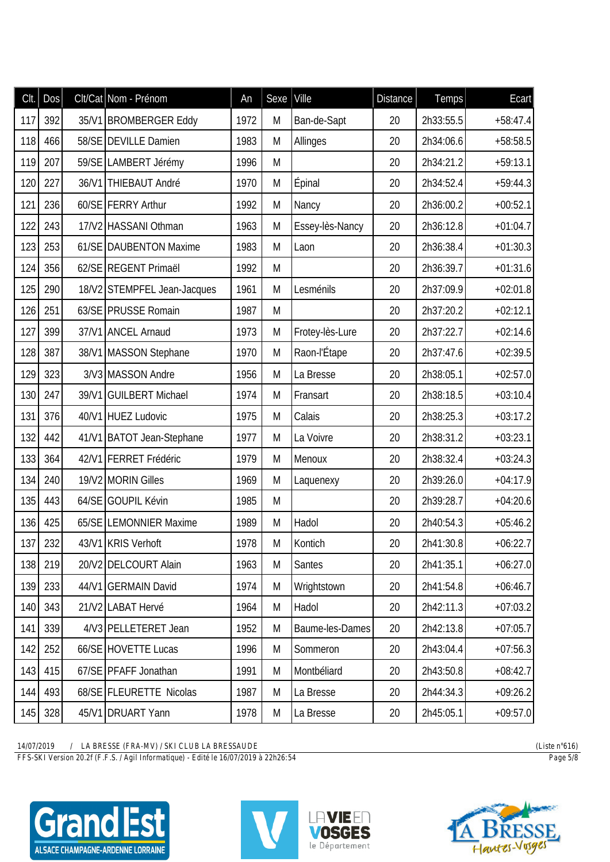| CIt. | Dos | Clt/Cat Nom - Prénom        | An   | Sexe <sup>1</sup> | Ville           | <b>Distance</b> | Temps     | Ecart      |
|------|-----|-----------------------------|------|-------------------|-----------------|-----------------|-----------|------------|
| 117  | 392 | 35/V1 BROMBERGER Eddy       | 1972 | M                 | Ban-de-Sapt     | 20              | 2h33:55.5 | $+58:47.4$ |
| 118  | 466 | 58/SE DEVILLE Damien        | 1983 | M                 | Allinges        | 20              | 2h34:06.6 | $+58:58.5$ |
| 119  | 207 | 59/SE LAMBERT Jérémy        | 1996 | M                 |                 | 20              | 2h34:21.2 | $+59:13.1$ |
| 120  | 227 | 36/V1 THIEBAUT André        | 1970 | M                 | <b>Épinal</b>   | 20              | 2h34:52.4 | $+59:44.3$ |
| 121  | 236 | 60/SE FERRY Arthur          | 1992 | M                 | Nancy           | 20              | 2h36:00.2 | $+00:52.1$ |
| 122  | 243 | 17/V2 HASSANI Othman        | 1963 | M                 | Essey-lès-Nancy | 20              | 2h36:12.8 | $+01:04.7$ |
| 123  | 253 | 61/SE DAUBENTON Maxime      | 1983 | M                 | Laon            | 20              | 2h36:38.4 | $+01:30.3$ |
| 124  | 356 | 62/SE REGENT Primaël        | 1992 | M                 |                 | 20              | 2h36:39.7 | $+01:31.6$ |
| 125  | 290 | 18/V2 STEMPFEL Jean-Jacques | 1961 | M                 | Lesménils       | 20              | 2h37:09.9 | $+02:01.8$ |
| 126  | 251 | 63/SE PRUSSE Romain         | 1987 | M                 |                 | 20              | 2h37:20.2 | $+02:12.1$ |
| 127  | 399 | 37/V1 ANCEL Arnaud          | 1973 | M                 | Frotey-lès-Lure | 20              | 2h37:22.7 | $+02:14.6$ |
| 128  | 387 | 38/V1 MASSON Stephane       | 1970 | M                 | Raon-l'Étape    | 20              | 2h37:47.6 | $+02:39.5$ |
| 129  | 323 | 3/V3 MASSON Andre           | 1956 | M                 | La Bresse       | 20              | 2h38:05.1 | $+02:57.0$ |
| 130  | 247 | 39/V1 GUILBERT Michael      | 1974 | M                 | Fransart        | 20              | 2h38:18.5 | $+03:10.4$ |
| 131  | 376 | 40/V1 HUEZ Ludovic          | 1975 | M                 | Calais          | 20              | 2h38:25.3 | $+03:17.2$ |
| 132  | 442 | 41/V1 BATOT Jean-Stephane   | 1977 | M                 | La Voivre       | 20              | 2h38:31.2 | $+03:23.1$ |
| 133  | 364 | 42/V1   FERRET Frédéric     | 1979 | M                 | Menoux          | 20              | 2h38:32.4 | $+03:24.3$ |
| 134  | 240 | 19/V2 MORIN Gilles          | 1969 | M                 | Laquenexy       | 20              | 2h39:26.0 | $+04:17.9$ |
| 135  | 443 | 64/SE GOUPIL Kévin          | 1985 | M                 |                 | 20              | 2h39:28.7 | $+04:20.6$ |
| 136  | 425 | 65/SE LEMONNIER Maxime      | 1989 | M                 | Hadol           | 20              | 2h40:54.3 | $+05:46.2$ |
| 137  | 232 | 43/V1 KRIS Verhoft          | 1978 | M                 | Kontich         | 20              | 2h41:30.8 | $+06:22.7$ |
| 138  | 219 | 20/V2 DELCOURT Alain        | 1963 | M                 | Santes          | 20              | 2h41:35.1 | $+06:27.0$ |
| 139  | 233 | 44/V1 GERMAIN David         | 1974 | M                 | Wrightstown     | 20              | 2h41:54.8 | $+06:46.7$ |
| 140  | 343 | 21/V2 LABAT Hervé           | 1964 | M                 | Hadol           | 20              | 2h42:11.3 | $+07:03.2$ |
| 141  | 339 | 4/V3 PELLETERET Jean        | 1952 | M                 | Baume-les-Dames | 20              | 2h42:13.8 | $+07:05.7$ |
| 142  | 252 | 66/SE HOVETTE Lucas         | 1996 | M                 | Sommeron        | 20              | 2h43:04.4 | $+07:56.3$ |
| 143  | 415 | 67/SE PFAFF Jonathan        | 1991 | M                 | Montbéliard     | 20              | 2h43:50.8 | $+08:42.7$ |
| 144  | 493 | 68/SE FLEURETTE Nicolas     | 1987 | M                 | La Bresse       | 20              | 2h44:34.3 | $+09:26.2$ |
| 145  | 328 | 45/V1 DRUART Yann           | 1978 | M                 | La Bresse       | 20              | 2h45:05.1 | $+09:57.0$ |

*FFS-SKI Version 20.2f (F.F.S. / Agil Informatique) - Edité le 16/07/2019 à 22h26:54 Page 5/8*





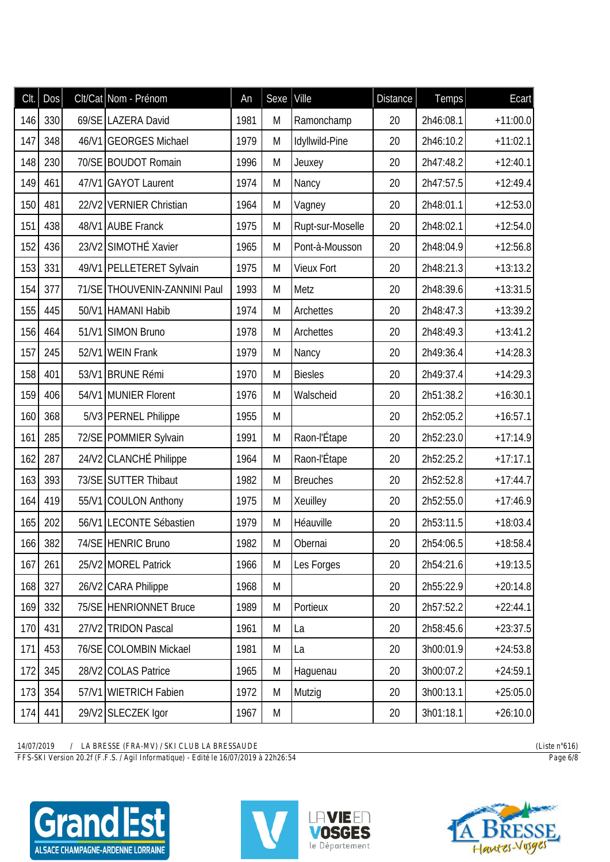| CIt. | Dos     | Clt/Cat Nom - Prénom         | An   | Sexe | Ville             | <b>Distance</b> | <b>Temps</b> | Ecart      |
|------|---------|------------------------------|------|------|-------------------|-----------------|--------------|------------|
| 146  | 330     | 69/SE LAZERA David           | 1981 | M    | Ramonchamp        | 20              | 2h46:08.1    | $+11:00.0$ |
| 147  | 348     | 46/V1 GEORGES Michael        | 1979 | M    | Idyllwild-Pine    | 20              | 2h46:10.2    | $+11:02.1$ |
| 148  | 230     | 70/SE BOUDOT Romain          | 1996 | M    | Jeuxey            | 20              | 2h47:48.2    | $+12:40.1$ |
| 149  | 461     | 47/V1 GAYOT Laurent          | 1974 | M    | Nancy             | 20              | 2h47:57.5    | $+12:49.4$ |
| 150  | 481     | 22/V2 VERNIER Christian      | 1964 | M    | Vagney            | 20              | 2h48:01.1    | $+12:53.0$ |
| 151  | 438     | 48/V1 AUBE Franck            | 1975 | M    | Rupt-sur-Moselle  | 20              | 2h48:02.1    | $+12:54.0$ |
| 152  | 436     | 23/V2 SIMOTHÉ Xavier         | 1965 | M    | Pont-à-Mousson    | 20              | 2h48:04.9    | $+12:56.8$ |
| 153  | 331     | 49/V1 PELLETERET Sylvain     | 1975 | M    | <b>Vieux Fort</b> | 20              | 2h48:21.3    | $+13:13.2$ |
| 154  | 377     | 71/SE THOUVENIN-ZANNINI Paul | 1993 | M    | Metz              | 20              | 2h48:39.6    | $+13:31.5$ |
| 155  | 445     | 50/V1 HAMANI Habib           | 1974 | M    | Archettes         | 20              | 2h48:47.3    | $+13:39.2$ |
| 156  | 464     | 51/V1 SIMON Bruno            | 1978 | M    | Archettes         | 20              | 2h48:49.3    | $+13:41.2$ |
| 157  | 245     | 52/V1 WEIN Frank             | 1979 | M    | Nancy             | 20              | 2h49:36.4    | $+14:28.3$ |
| 158  | 401     | 53/V1 BRUNE Rémi             | 1970 | M    | <b>Biesles</b>    | 20              | 2h49:37.4    | $+14:29.3$ |
| 159  | 406     | 54/V1 MUNIER Florent         | 1976 | M    | Walscheid         | 20              | 2h51:38.2    | $+16:30.1$ |
| 160  | 368     | 5/V3 PERNEL Philippe         | 1955 | M    |                   | 20              | 2h52:05.2    | $+16:57.1$ |
| 161  | 285     | 72/SE POMMIER Sylvain        | 1991 | M    | Raon-l'Étape      | 20              | 2h52:23.0    | $+17:14.9$ |
| 162  | 287     | 24/V2 CLANCHÉ Philippe       | 1964 | M    | Raon-l'Étape      | 20              | 2h52:25.2    | $+17:17.1$ |
| 163  | 393     | 73/SE SUTTER Thibaut         | 1982 | M    | <b>Breuches</b>   | 20              | 2h52:52.8    | $+17:44.7$ |
| 164  | 419     | 55/V1 COULON Anthony         | 1975 | M    | Xeuilley          | 20              | 2h52:55.0    | $+17:46.9$ |
| 165  | 202     | 56/V1 LECONTE Sébastien      | 1979 | M    | Héauville         | 20              | 2h53:11.5    | $+18:03.4$ |
|      | 166 382 | 74/SE HENRIC Bruno           | 1982 | M    | Obernai           | 20              | 2h54:06.5    | $+18:58.4$ |
| 167  | 261     | 25/V2 MOREL Patrick          | 1966 | M    | Les Forges        | 20              | 2h54:21.6    | $+19:13.5$ |
| 168  | 327     | 26/V2 CARA Philippe          | 1968 | M    |                   | 20              | 2h55:22.9    | $+20:14.8$ |
| 169  | 332     | 75/SE HENRIONNET Bruce       | 1989 | M    | Portieux          | 20              | 2h57:52.2    | $+22:44.1$ |
| 170  | 431     | 27/V2 TRIDON Pascal          | 1961 | M    | La                | 20              | 2h58:45.6    | $+23:37.5$ |
| 171  | 453     | 76/SE COLOMBIN Mickael       | 1981 | M    | La                | 20              | 3h00:01.9    | $+24:53.8$ |
| 172  | 345     | 28/V2 COLAS Patrice          | 1965 | M    | Haquenau          | 20              | 3h00:07.2    | $+24:59.1$ |
| 173  | 354     | 57/V1 WIETRICH Fabien        | 1972 | M    | Mutzig            | 20              | 3h00:13.1    | $+25:05.0$ |
| 174  | 441     | 29/V2 SLECZEK Igor           | 1967 | M    |                   | 20              | 3h01:18.1    | $+26:10.0$ |

*FFS-SKI Version 20.2f (F.F.S. / Agil Informatique) - Edité le 16/07/2019 à 22h26:54 Page 6/8*





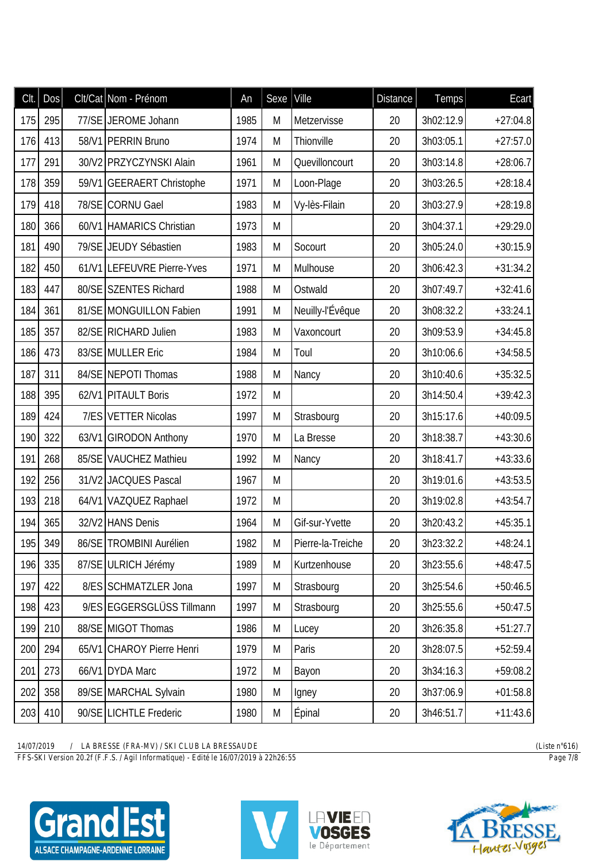| Clt. | Dos     | Clt/Cat Nom - Prénom       | An   | Sexe <sup>1</sup> | Ville             | <b>Distance</b> | Temps     | Ecart      |
|------|---------|----------------------------|------|-------------------|-------------------|-----------------|-----------|------------|
| 175  | 295     | 77/SE JEROME Johann        | 1985 | M                 | Metzervisse       | 20              | 3h02:12.9 | $+27:04.8$ |
| 176  | 413     | 58/V1 PERRIN Bruno         | 1974 | M                 | Thionville        | 20              | 3h03:05.1 | $+27:57.0$ |
| 177  | 291     | 30/V2 PRZYCZYNSKI Alain    | 1961 | M                 | Quevilloncourt    | 20              | 3h03:14.8 | $+28:06.7$ |
| 178  | 359     | 59/V1 GEERAERT Christophe  | 1971 | M                 | Loon-Plage        | 20              | 3h03:26.5 | $+28:18.4$ |
| 179  | 418     | 78/SE CORNU Gael           | 1983 | M                 | Vy-lès-Filain     | 20              | 3h03:27.9 | $+28:19.8$ |
| 180  | 366     | 60/V1 HAMARICS Christian   | 1973 | M                 |                   | 20              | 3h04:37.1 | $+29:29.0$ |
| 181  | 490     | 79/SE JEUDY Sébastien      | 1983 | M                 | Socourt           | 20              | 3h05:24.0 | $+30:15.9$ |
| 182  | 450     | 61/V1 LEFEUVRE Pierre-Yves | 1971 | M                 | Mulhouse          | 20              | 3h06:42.3 | $+31:34.2$ |
| 183  | 447     | 80/SE SZENTES Richard      | 1988 | M                 | Ostwald           | 20              | 3h07:49.7 | $+32:41.6$ |
| 184  | 361     | 81/SE MONGUILLON Fabien    | 1991 | M                 | Neuilly-l'Évêque  | 20              | 3h08:32.2 | $+33:24.1$ |
| 185  | 357     | 82/SE RICHARD Julien       | 1983 | M                 | Vaxoncourt        | 20              | 3h09:53.9 | $+34:45.8$ |
| 186  | 473     | 83/SE MULLER Eric          | 1984 | M                 | Toul              | 20              | 3h10:06.6 | $+34:58.5$ |
| 187  | 311     | 84/SE NEPOTI Thomas        | 1988 | M                 | Nancy             | 20              | 3h10:40.6 | $+35:32.5$ |
| 188  | 395     | 62/V1 PITAULT Boris        | 1972 | M                 |                   | 20              | 3h14:50.4 | $+39:42.3$ |
| 189  | 424     | 7/ES VETTER Nicolas        | 1997 | M                 | Strasbourg        | 20              | 3h15:17.6 | $+40:09.5$ |
| 190  | 322     | 63/V1 GIRODON Anthony      | 1970 | M                 | La Bresse         | 20              | 3h18:38.7 | $+43:30.6$ |
| 191  | 268     | 85/SE VAUCHEZ Mathieu      | 1992 | M                 | Nancy             | 20              | 3h18:41.7 | $+43:33.6$ |
| 192  | 256     | 31/V2 JACQUES Pascal       | 1967 | M                 |                   | 20              | 3h19:01.6 | $+43:53.5$ |
| 193  | 218     | 64/V1 VAZQUEZ Raphael      | 1972 | M                 |                   | 20              | 3h19:02.8 | $+43:54.7$ |
| 194  | 365     | 32/V2 HANS Denis           | 1964 | M                 | Gif-sur-Yvette    | 20              | 3h20:43.2 | $+45:35.1$ |
|      | 195 349 | 86/SE TROMBINI Aurélien    | 1982 | M                 | Pierre-la-Treiche | 20              | 3h23:32.2 | $+48:24.1$ |
| 196  | 335     | 87/SE ULRICH Jérémy        | 1989 | M                 | Kurtzenhouse      | 20              | 3h23:55.6 | $+48:47.5$ |
| 197  | 422     | 8/ES SCHMATZLER Jona       | 1997 | M                 | Strasbourg        | 20              | 3h25:54.6 | $+50:46.5$ |
| 198  | 423     | 9/ES EGGERSGLÜSS Tillmann  | 1997 | M                 | Strasbourg        | 20              | 3h25:55.6 | $+50:47.5$ |
| 199  | 210     | 88/SE MIGOT Thomas         | 1986 | M                 | Lucey             | 20              | 3h26:35.8 | $+51:27.7$ |
| 200  | 294     | 65/V1 CHAROY Pierre Henri  | 1979 | M                 | Paris             | 20              | 3h28:07.5 | $+52:59.4$ |
| 201  | 273     | 66/V1 DYDA Marc            | 1972 | M                 | Bayon             | 20              | 3h34:16.3 | $+59:08.2$ |
| 202  | 358     | 89/SE MARCHAL Sylvain      | 1980 | M                 | Igney             | 20              | 3h37:06.9 | $+01:58.8$ |
| 203  | 410     | 90/SE LICHTLE Frederic     | 1980 | M                 | Épinal            | 20              | 3h46:51.7 | $+11:43.6$ |

*FFS-SKI Version 20.2f (F.F.S. / Agil Informatique) - Edité le 16/07/2019 à 22h26:55 Page 7/8*